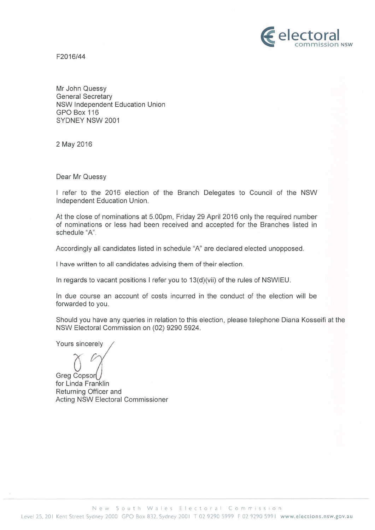F2016/44

Mr John Quessy General Secretary NSW Independent Education Union GPO Box 116 SYDNEY NSW 2001

2 May 2016

Dear Mr Quessy

I refer to the 2016 election of the Branch Delegates to Council of the NSW Independent Education Union.

**E** electoral

At the close of nominations at 5.00pm, Friday 29 April 2016 only the required number of nominations or less had been received and accepted for the Branches listed in schedule "A".

Accordingly all candidates listed in schedule "A" are declared elected unopposed.

I have written to all candidates advising them of their election.

In regards to vacant positions I refer you to 13(d)(vii) of the rules of NSWIEU.

In due course an account of costs incurred in the conduct of the election will be forwarded to you.

Should you have any queries in relation to this election, please telephone Diana Kosseifi at the NSW Electoral Commission on (02) 9290 5924.

Yours sincerely

Greg Copso for Linda Franklin Returning Officer and Acting NSW Electoral Commissioner